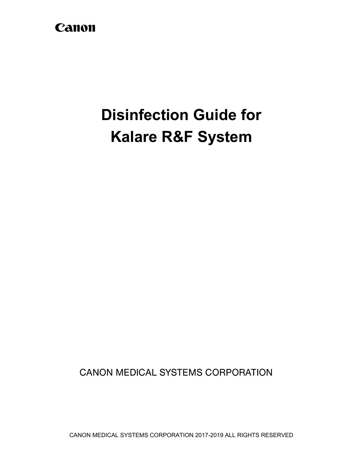## Canon

# **Disinfection Guide for Kalare R&F System**

**CANON MEDICAL SYSTEMS CORPORATION** 

CANON MEDICAL SYSTEMS CORPORATION 2017-2019 ALL RIGHTS RESERVED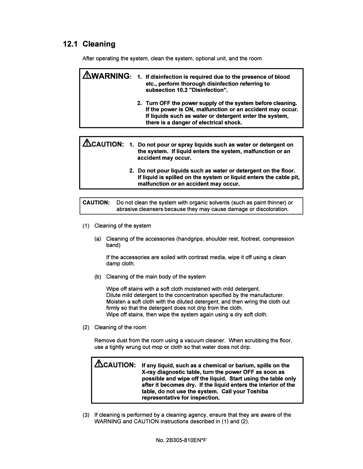#### **12.1 Cleaning**

After operating the system, clean the system, optional unit, and the room.

|  | $\bf \Delta WARMING:$ 1. If disinfection is required due to the presence of blood<br>etc., perform thorough disinfection referring to<br>subsection 10.2 "Disinfection".                                                      |
|--|-------------------------------------------------------------------------------------------------------------------------------------------------------------------------------------------------------------------------------|
|  | 2. Turn OFF the power supply of the system before cleaning.<br>If the power is ON, malfunction or an accident may occur.<br>If liquids such as water or detergent enter the system,<br>there is a danger of electrical shock. |
|  |                                                                                                                                                                                                                               |
|  | $\Delta$ CAUTION: 1. Do not pour or spray liquids such as water or detergent on<br>the system. If liquid enters the system, malfunction or an<br>accident may occur.                                                          |

**2. Do not pour liquids such as water or detergent on the floor. If liquid is spilled on the system or liquid enters the cable pit, malfunction or an accident may occur.**

**CAUTION:** Do not clean the system with organic solvents (such as paint thinner) or abrasive cleansers because they may cause damage or discoloration.

- (1) Cleaning of the system
	- (a) Cleaning of the accessories (handgrips, shoulder rest, footrest, compression band)

If the accessories are soiled with contrast media, wipe it off using a clean damp cloth.

(b) Cleaning of the main body of the system

Wipe off stains with a soft cloth moistened with mild detergent. Dilute mild detergent to the concentration specified by the manufacturer. Moisten a soft cloth with the diluted detergent, and then wring the cloth out firmly so that the detergent does not drip from the cloth. Wipe off stains, then wipe the system again using a dry soft cloth.

(2) Cleaning of the room

Remove dust from the room using a vacuum cleaner. When scrubbing the floor, use a tightly wrung out mop or cloth so that water does not drip.

 $\bf \hat{\triangle}$ CAUTION: If any liquid, such as a chemical or barium, spills on the **X-ray diagnostic table, turn the power OFF as soon as possible and wipe off the liquid. Start using the table only after it becomes dry. If the liquid enters the interior of the table, do not use the system. Call your Toshiba representative for inspection.**

(3) If cleaning is performed by a cleaning agency, ensure that they are aware of the WARNING and CAUTION instructions described in (1) and (2).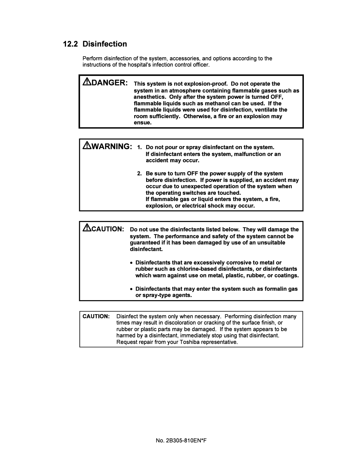### **12.2 Disinfection**

**Perform disinfection of the system, accessories, and options according to the instructions of the hospital's infection control officer.** 

**�DANGER: This system is not explosion-proof. Do not operate the system in an atmosphere containing flammable gases such as anesthetics. Only after the system power is turned OFF, flammable liquids such as methanol can be used. If the flammable liquids were used for disinfection, ventilate the room sufficiently. Otherwise, a fire or an explosion may ensue.** 

|  | MARNING: 1. Do not pour or spray disinfectant on the system.<br>If disinfectant enters the system, malfunction or an<br>accident may occur.                                                                                                                                                                              |
|--|--------------------------------------------------------------------------------------------------------------------------------------------------------------------------------------------------------------------------------------------------------------------------------------------------------------------------|
|  | 2. Be sure to turn OFF the power supply of the system<br>before disinfection. If power is supplied, an accident may<br>occur due to unexpected operation of the system when<br>the operating switches are touched.<br>If flammable gas or liquid enters the system, a fire,<br>explosion, or electrical shock may occur. |

| <b>CAUTION:</b> | Do not use the disinfectants listed below. They will damage the<br>system. The performance and safety of the system cannot be<br>guaranteed if it has been damaged by use of an unsuitable<br>disinfectant. |
|-----------------|-------------------------------------------------------------------------------------------------------------------------------------------------------------------------------------------------------------|
|                 | • Disinfectants that are excessively corrosive to metal or<br>rubber such as chlorine-based disinfectants, or disinfectants<br>which warn against use on metal, plastic, rubber, or coatings.               |
|                 | • Disinfectants that may enter the system such as formalin gas<br>or spray-type agents.                                                                                                                     |
|                 |                                                                                                                                                                                                             |
| <b>CAUTION:</b> | Disinfect the system only when necessary. Performing disinfection many                                                                                                                                      |

**times may result in discoloration or cracking of the surface finish, or rubber or plastic parts may be damaged. If the system appears to be harmed by a disinfectant, immediately stop using that disinfectant. Request repair from your Toshiba representative.**